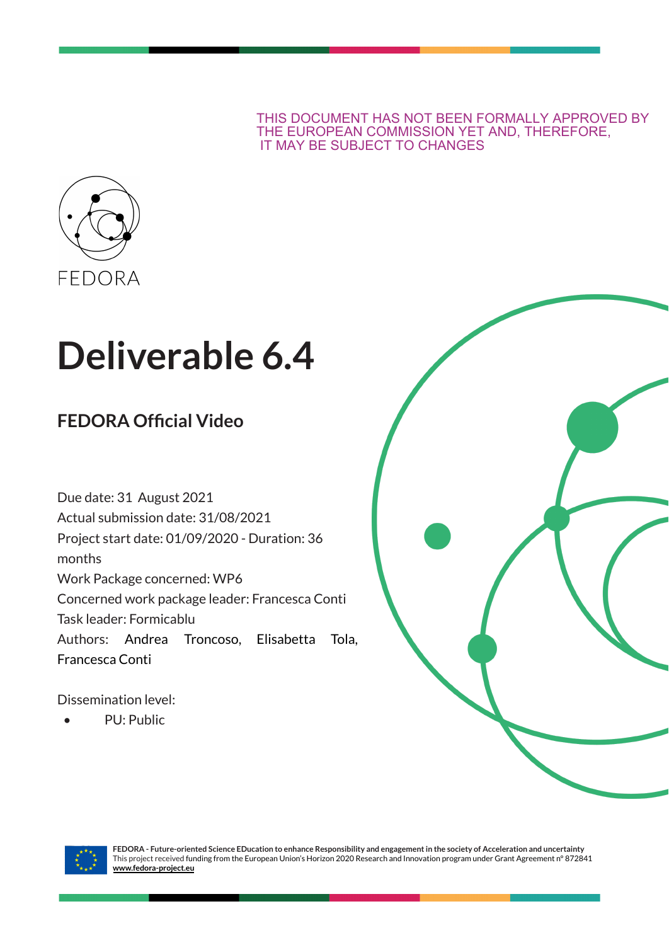THIS DOCUMENT HAS NOT BEEN FORMALLY APPROVED BY THE EUROPEAN COMMISSION YET AND, THEREFORE, IT MAY BE SUBJECT TO CHANGES



# **Deliverable 6.4**

# **FEDORA Official Video**

Due date: 31 August 2021 Actual submission date: 31/08/2021 Project start date: 01/09/2020 - Duration: 36 months Work Package concerned: WP6 Concerned work package leader: Francesca Conti Task leader: Formicablu Authors: Andrea Troncoso, Elisabetta Tola, Francesca Conti

Dissemination level:

• PU: Public



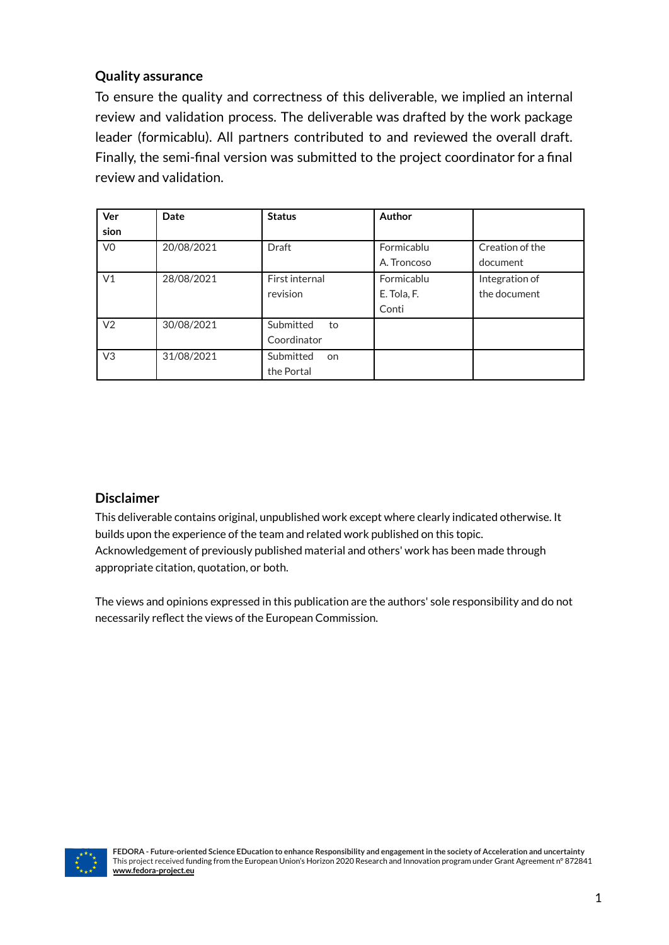## **Quality assurance**

To ensure the quality and correctness of this deliverable, we implied an internal review and validation process. The deliverable was drafted by the work package leader (formicablu). All partners contributed to and reviewed the overall draft. Finally, the semi-final version was submitted to the project coordinator for a final review and validation.

| Ver            | <b>Date</b> | <b>Status</b>          | Author      |                 |
|----------------|-------------|------------------------|-------------|-----------------|
| sion           |             |                        |             |                 |
| V <sub>0</sub> | 20/08/2021  | <b>Draft</b>           | Formicablu  | Creation of the |
|                |             |                        | A. Troncoso | document        |
| V <sub>1</sub> | 28/08/2021  | First internal         | Formicablu  | Integration of  |
|                |             | revision               | E. Tola, F. | the document    |
|                |             |                        | Conti       |                 |
| V <sub>2</sub> | 30/08/2021  | Submitted<br>to        |             |                 |
|                |             | Coordinator            |             |                 |
| V <sub>3</sub> | 31/08/2021  | Submitted<br><b>on</b> |             |                 |
|                |             | the Portal             |             |                 |

## **Disclaimer**

This deliverable contains original, unpublished work except where clearly indicated otherwise. It builds upon the experience of the team and related work published on this topic. Acknowledgement of previously published material and others' work has been made through appropriate citation, quotation, or both.

The views and opinions expressed in this publication are the authors' sole responsibility and do not necessarily reflect the views of the European Commission.

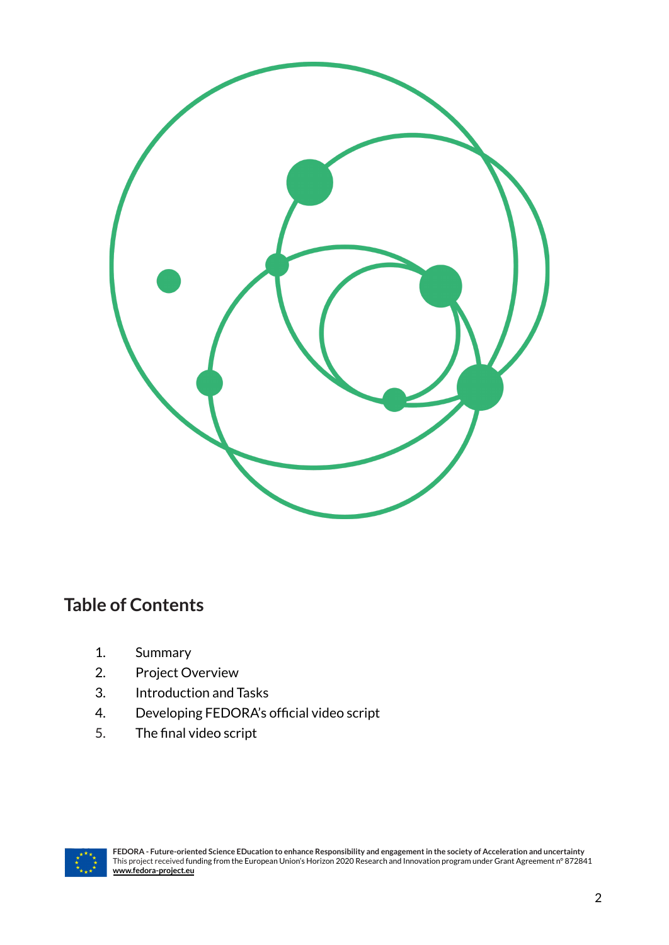

# **Table of Contents**

- 1. Summary
- 2. Project Overview
- 3. Introduction and Tasks
- 4. Developing FEDORA's official video script
- 5. The final video script

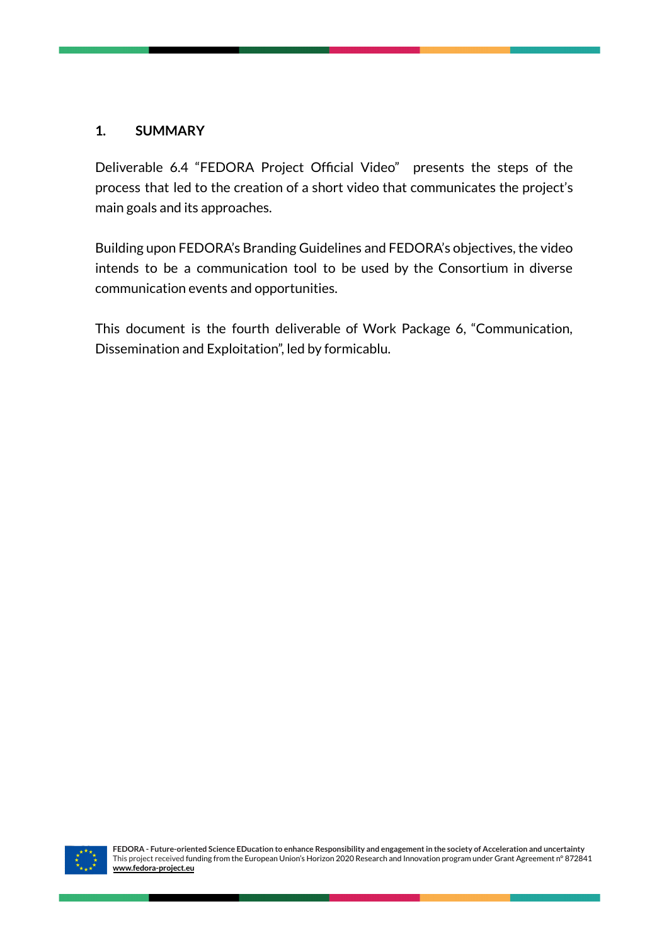## **1. SUMMARY**

Deliverable 6.4 "FEDORA Project Official Video" presents the steps of the process that led to the creation of a short video that communicates the project's main goals and its approaches.

Building upon FEDORA's Branding Guidelines and FEDORA's objectives, the video intends to be a communication tool to be used by the Consortium in diverse communication events and opportunities.

This document is the fourth deliverable of Work Package 6, "Communication, Dissemination and Exploitation", led by formicablu.

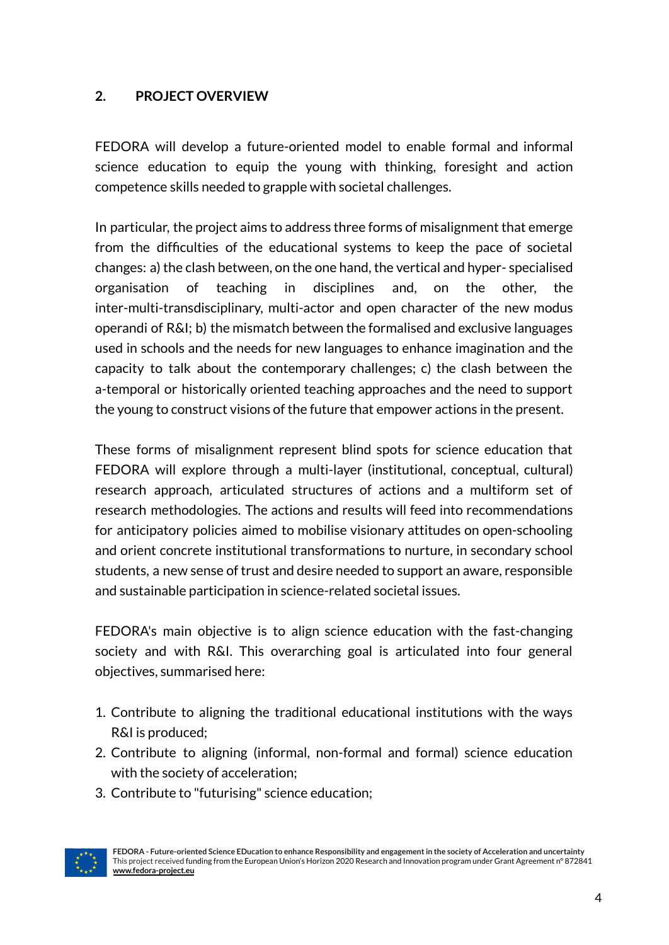# **2. PROJECT OVERVIEW**

FEDORA will develop a future-oriented model to enable formal and informal science education to equip the young with thinking, foresight and action competence skills needed to grapple with societal challenges.

In particular, the project aims to address three forms of misalignment that emerge from the difficulties of the educational systems to keep the pace of societal changes: a) the clash between, on the one hand, the vertical and hyper- specialised organisation of teaching in disciplines and, on the other, the inter-multi-transdisciplinary, multi-actor and open character of the new modus operandi of R&I; b) the mismatch between the formalised and exclusive languages used in schools and the needs for new languages to enhance imagination and the capacity to talk about the contemporary challenges; c) the clash between the a-temporal or historically oriented teaching approaches and the need to support the young to construct visions of the future that empower actions in the present.

These forms of misalignment represent blind spots for science education that FEDORA will explore through a multi-layer (institutional, conceptual, cultural) research approach, articulated structures of actions and a multiform set of research methodologies. The actions and results will feed into recommendations for anticipatory policies aimed to mobilise visionary attitudes on open-schooling and orient concrete institutional transformations to nurture, in secondary school students, a new sense of trust and desire needed to support an aware, responsible and sustainable participation in science-related societal issues.

FEDORA's main objective is to align science education with the fast-changing society and with R&I. This overarching goal is articulated into four general objectives, summarised here:

- 1. Contribute to aligning the traditional educational institutions with the ways R&I is produced;
- 2. Contribute to aligning (informal, non-formal and formal) science education with the society of acceleration;
- 3. Contribute to "futurising" science education;

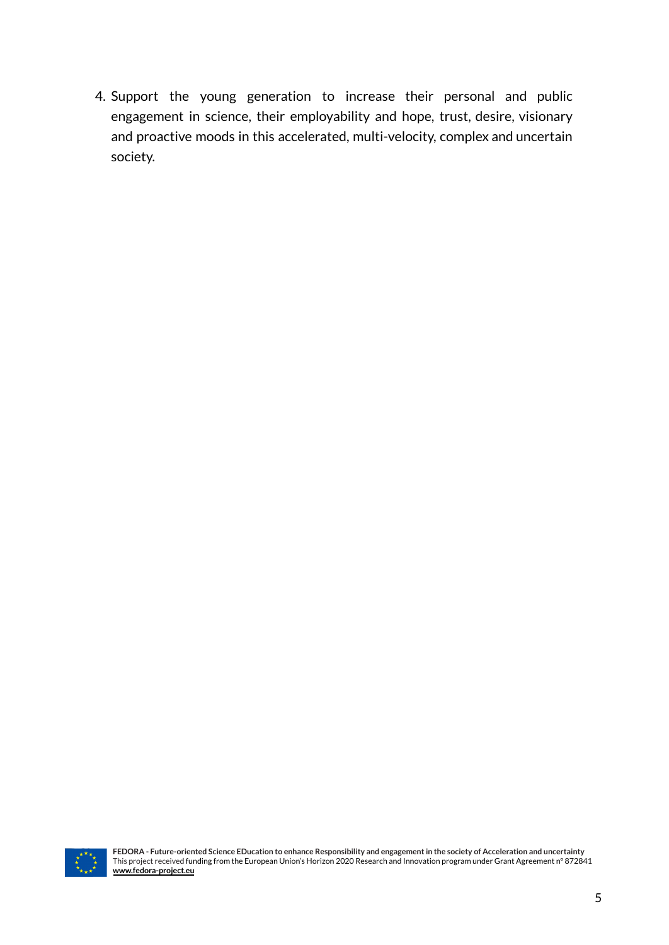4. Support the young generation to increase their personal and public engagement in science, their employability and hope, trust, desire, visionary and proactive moods in this accelerated, multi-velocity, complex and uncertain society.

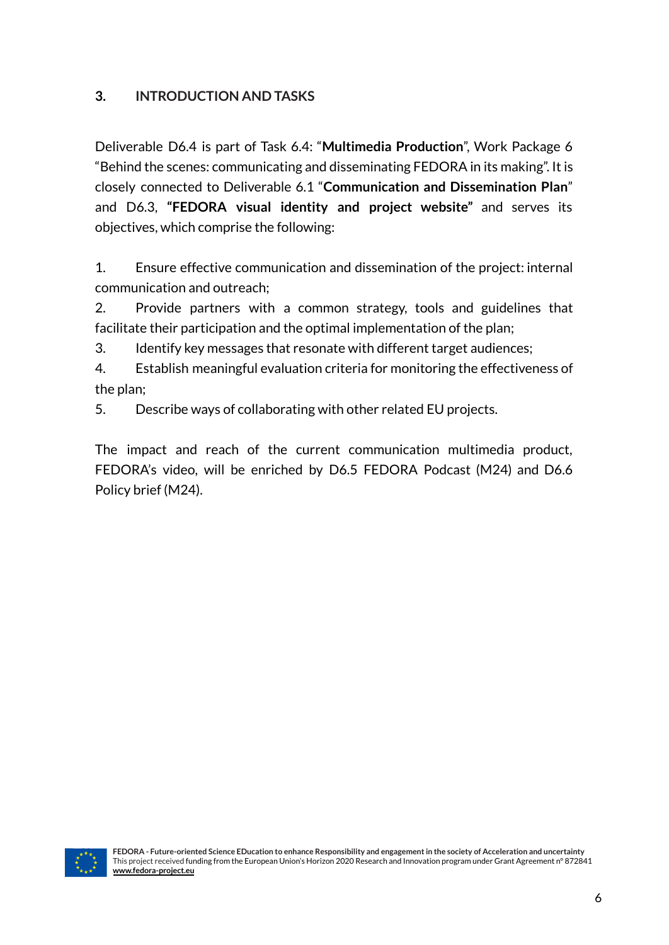# **3. INTRODUCTION AND TASKS**

Deliverable D6.4 is part of Task 6.4: "**Multimedia Production**", Work Package 6 "Behind the scenes: communicating and disseminating FEDORA in its making". It is closely connected to Deliverable 6.1 "**Communication and Dissemination Plan**" and D6.3, **"FEDORA visual identity and project website"** and serves its objectives, which comprise the following:

1. Ensure effective communication and dissemination of the project: internal communication and outreach;

2. Provide partners with a common strategy, tools and guidelines that facilitate their participation and the optimal implementation of the plan;

3. Identify key messages that resonate with different target audiences;

4. Establish meaningful evaluation criteria for monitoring the effectiveness of the plan;

5. Describe ways of collaborating with other related EU projects.

The impact and reach of the current communication multimedia product, FEDORA's video, will be enriched by D6.5 FEDORA Podcast (M24) and D6.6 Policy brief (M24).

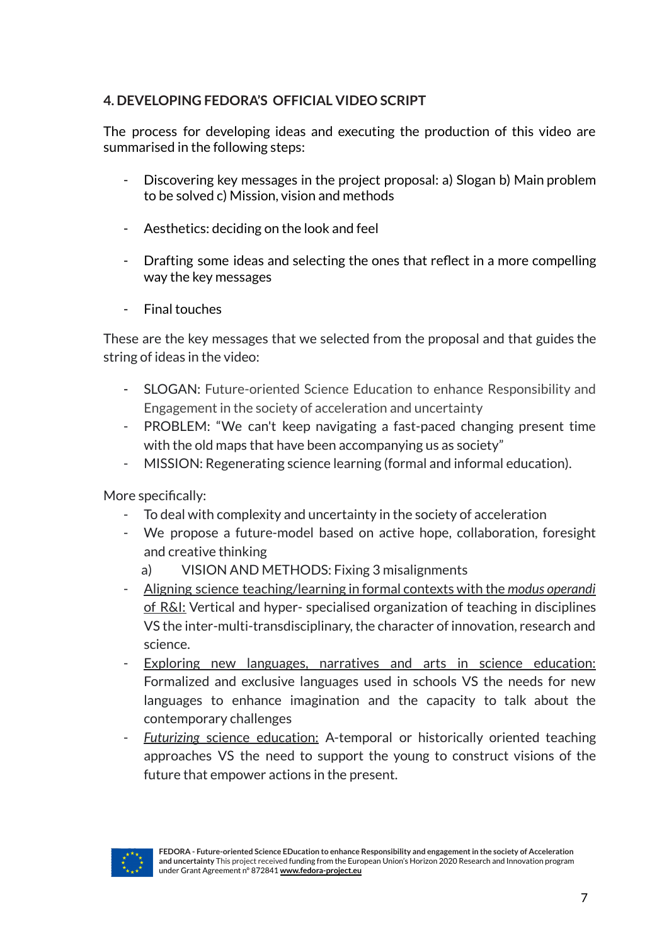# **4. DEVELOPING FEDORA'S OFFICIAL VIDEO SCRIPT**

The process for developing ideas and executing the production of this video are summarised in the following steps:

- Discovering key messages in the project proposal: a) Slogan b) Main problem to be solved c) Mission, vision and methods
- Aesthetics: deciding on the look and feel
- Drafting some ideas and selecting the ones that reflect in a more compelling way the key messages
- Final touches

These are the key messages that we selected from the proposal and that guides the string of ideas in the video:

- SLOGAN: Future-oriented Science Education to enhance Responsibility and Engagement in the society of acceleration and uncertainty
- PROBLEM: "We can't keep navigating a fast-paced changing present time with the old maps that have been accompanying us as society"
- MISSION: Regenerating science learning (formal and informal education).

More specifically:

- To deal with complexity and uncertainty in the society of acceleration
- We propose a future-model based on active hope, collaboration, foresight and creative thinking
	- a) VISION AND METHODS: Fixing 3 misalignments
- Aligning science teaching/learning in formal contexts with the *modus operandi* of R&I: Vertical and hyper- specialised organization of teaching in disciplines VS the inter-multi-transdisciplinary, the character of innovation, research and science.
- Exploring new languages, narratives and arts in science education: Formalized and exclusive languages used in schools VS the needs for new languages to enhance imagination and the capacity to talk about the contemporary challenges
- **Futurizing science education:** A-temporal or historically oriented teaching approaches VS the need to support the young to construct visions of the future that empower actions in the present.



**FEDORA - Future-oriented Science EDucation to enhance Responsibility and engagementin the society of Acceleration and uncertainty** This project received funding from the European Union's Horizon 2020 Research and Innovation program under Grant Agreement n° 872841 **[www.fedora-project.eu](http://www.fedora-project.eu)**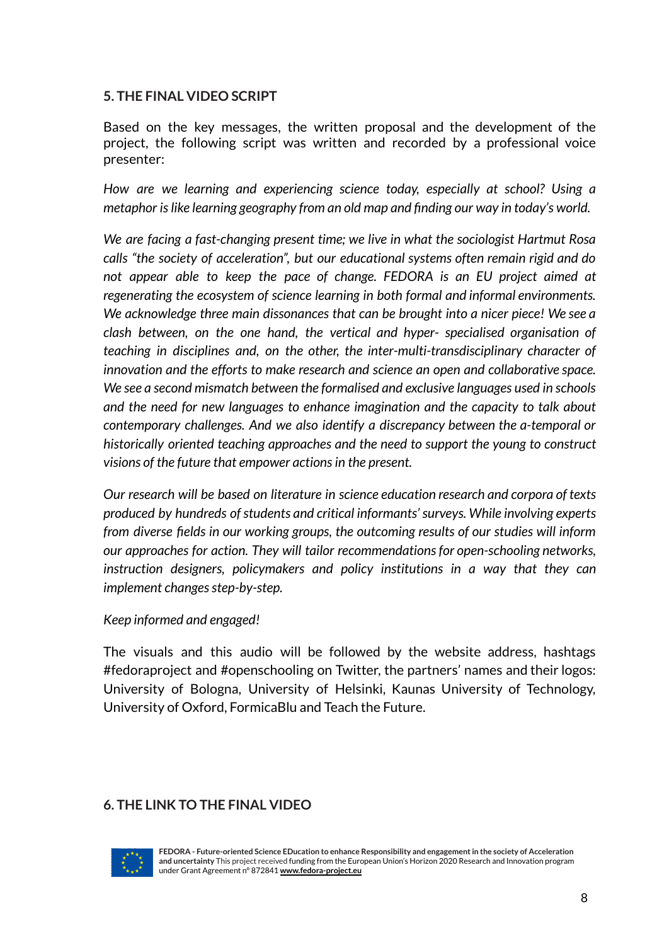## **5. THE FINAL VIDEO SCRIPT**

Based on the key messages, the written proposal and the development of the project, the following script was written and recorded by a professional voice presenter:

*How are we learning and experiencing science today, especially at school? Using a metaphor islike learning geography from an old map and finding our way in today's world.*

*We are facing a fast-changing present time; we live in what the sociologist Hartmut Rosa calls "the society of acceleration", but our educational systems often remain rigid and do not appear able to keep the pace of change. FEDORA is an EU project aimed at regenerating the ecosystem of science learning in both formal and informal environments. We acknowledge three main dissonances that can be brought into a nicer piece! We see a clash between, on the one hand, the vertical and hyper- specialised organisation of teaching in disciplines and, on the other, the inter-multi-transdisciplinary character of innovation and the efforts to make research and science an open and collaborative space. We see a second mismatch between the formalised and exclusive languages used in schools and the need for new languages to enhance imagination and the capacity to talk about contemporary challenges. And we also identify a discrepancy between the a-temporal or historically oriented teaching approaches and the need to support the young to construct visions of the future that empower actionsin the present.*

*Our research will be based on literature in science education research and corpora of texts produced by hundreds ofstudents and critical informants'surveys. While involving experts from diverse fields in our working groups, the outcoming results of our studies will inform our approaches for action. They will tailor recommendationsfor open-schooling networks, instruction designers, policymakers and policy institutions in a way that they can implement changes step-by-step.* 

#### *Keep informed and engaged!*

The visuals and this audio will be followed by the website address, hashtags #fedoraproject and #openschooling on Twitter, the partners' names and their logos: University of Bologna, University of Helsinki, Kaunas University of Technology, University of Oxford, FormicaBlu and Teach the Future.

## **6. THE LINK TO THE FINAL VIDEO**